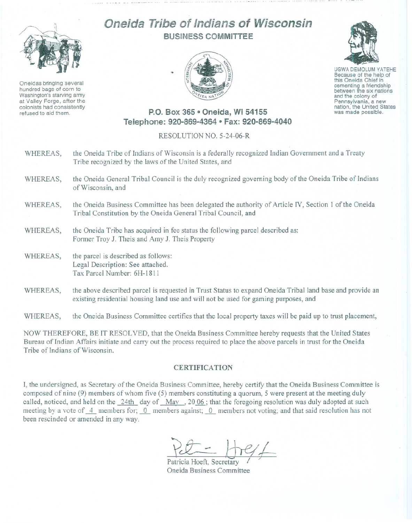

Oneidas bringing several hundred bags of corn to Washington's starving army at Valley Forge, after the colonists had consistently refused to aid them.

## Oneida Tribe of Indians of Wisconsin BUSINESS COMMITTEE





UGWA DEMOLUM YATEHE Because of the help of this Oneida Chief in between the six nations and the colony of<br>Pennsylvania, a new nation, the United States was made possible.

## P.O. Box 365 9 Oneida, **WI** 54155 Telephone: 920-869-4364 • Fax: 920-869-4040

## RESOLUTION NO. 5-24-06-R

- WHEREAS, the Oneida Tribe of Indians of Wisconsin is a federally recognized Indian Government and a Treaty Tribe recognized by the laws of the United States, and
- WHEREAS, the Oneida General Tribal Council is the duly recognized governing body of the Oneida Tribe of Indians of Wisconsin, and
- WHEREAS, the Oneida Business Committee has been delegated the authority of Article IV, Section 1 of the Oneida Tribal Constitution by the Oneida General Tribal Council, and
- WHEREAS, the Oneida Tribe has acquired in fee status the following parcel described as: Former Troy J. Theis and Amy J. Theis Property
- WHEREAS, the parcel is described as follows: Legal Description: See attached. Tax Parcel Number: 6H-1811
- WHEREAS, the above described parcel is requested in Trust Status to expand Oneida Tribal land base and provide an existing residential housing land use and will not be used for gaming purposes, and

WHEREAS, the Oneida Business Committee certifies that the local property taxes will be paid up to trust placement,

NOW THEREFORE, BE IT RESOLVED, that the Oneida Business Committee hereby requests that the United States Bureau of Indian Affairs initiate and carry out the process required to place the above parcels in trust for the Oneida Tribe of Indians of Wisconsin.

## **CERTIFICATION**

I, the undersigned, as Secretary of the Oneida Business Committee, hereby certify that the Oneida Business Committee is composed of nine (9) members of whom five (5) members constituting a quorum, 5 were present at the meeting duly called, noticed, and held on the 24th day of May, 2006; that the foregoing resolution was duly adopted at such meeting by a vote of  $\overline{4}$  members for;  $\overline{0}$  members against;  $\overline{0}$  members not voting; and that said resolution has not been rescinded or amended in any way.

Patricia Hoeft, Secretary Oneida Business Committee